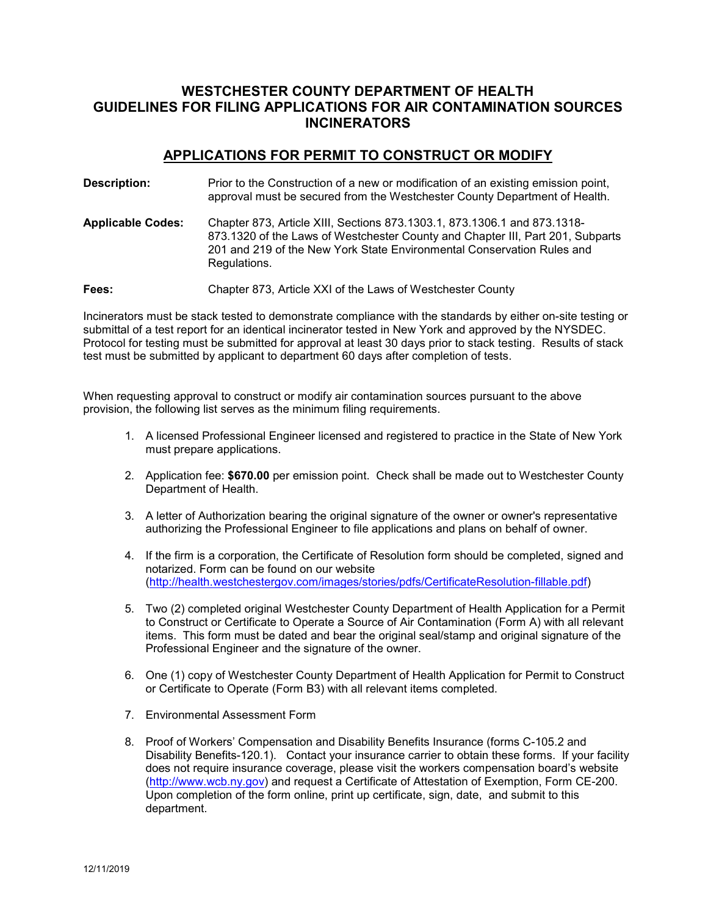# **WESTCHESTER COUNTY DEPARTMENT OF HEALTH GUIDELINES FOR FILING APPLICATIONS FOR AIR CONTAMINATION SOURCES INCINERATORS**

### **APPLICATIONS FOR PERMIT TO CONSTRUCT OR MODIFY**

| Description:             | Prior to the Construction of a new or modification of an existing emission point,<br>approval must be secured from the Westchester County Department of Health.                                                                                      |
|--------------------------|------------------------------------------------------------------------------------------------------------------------------------------------------------------------------------------------------------------------------------------------------|
| <b>Applicable Codes:</b> | Chapter 873, Article XIII, Sections 873.1303.1, 873.1306.1 and 873.1318-<br>873.1320 of the Laws of Westchester County and Chapter III, Part 201, Subparts<br>201 and 219 of the New York State Environmental Conservation Rules and<br>Regulations. |
| <b>Fees:</b>             | Chapter 873, Article XXI of the Laws of Westchester County                                                                                                                                                                                           |

Incinerators must be stack tested to demonstrate compliance with the standards by either on-site testing or submittal of a test report for an identical incinerator tested in New York and approved by the NYSDEC. Protocol for testing must be submitted for approval at least 30 days prior to stack testing. Results of stack test must be submitted by applicant to department 60 days after completion of tests.

When requesting approval to construct or modify air contamination sources pursuant to the above provision, the following list serves as the minimum filing requirements.

- 1. A licensed Professional Engineer licensed and registered to practice in the State of New York must prepare applications.
- 2. Application fee: **\$670.00** per emission point. Check shall be made out to Westchester County Department of Health.
- 3. A letter of Authorization bearing the original signature of the owner or owner's representative authorizing the Professional Engineer to file applications and plans on behalf of owner.
- 4. If the firm is a corporation, the Certificate of Resolution form should be completed, signed and notarized. Form can be found on our website [\(http://health.westchestergov.com/images/stories/pdfs/CertificateResolution-fillable.pdf\)](http://health.westchestergov.com/images/stories/pdfs/CertificateResolution-fillable.pdf)
- 5. Two (2) completed original Westchester County Department of Health Application for a Permit to Construct or Certificate to Operate a Source of Air Contamination (Form A) with all relevant items. This form must be dated and bear the original seal/stamp and original signature of the Professional Engineer and the signature of the owner.
- 6. One (1) copy of Westchester County Department of Health Application for Permit to Construct or Certificate to Operate (Form B3) with all relevant items completed.
- 7. Environmental Assessment Form
- 8. Proof of Workers' Compensation and Disability Benefits Insurance (forms C-105.2 and Disability Benefits-120.1). Contact your insurance carrier to obtain these forms. If your facility does not require insurance coverage, please visit the workers compensation board's website [\(http://www.wcb.ny.gov\)](http://www.wcb.ny.gov/) and request a Certificate of Attestation of Exemption, Form CE-200. Upon completion of the form online, print up certificate, sign, date, and submit to this department.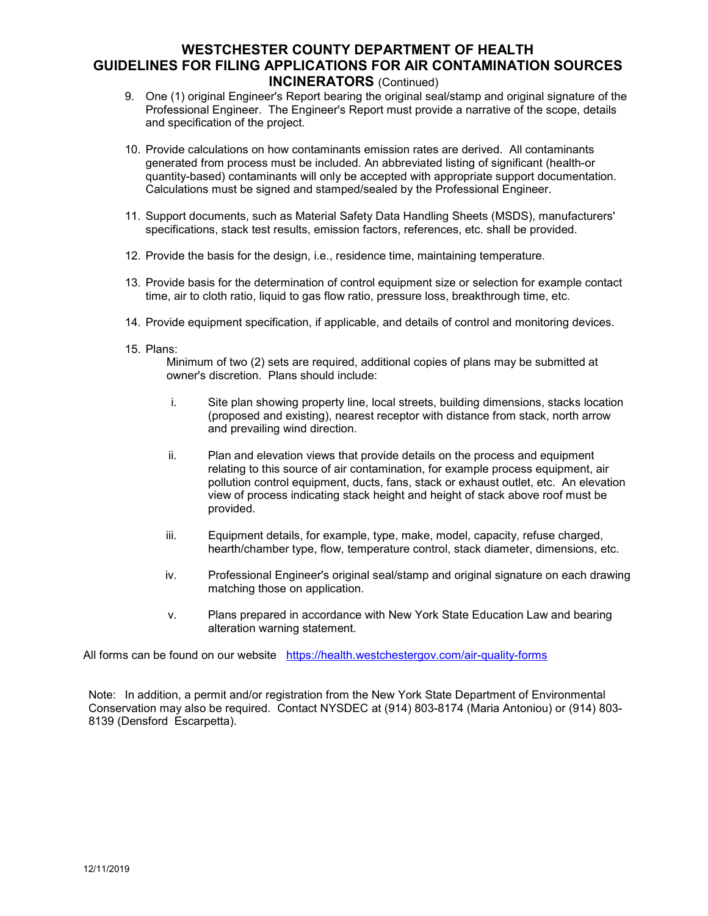## **WESTCHESTER COUNTY DEPARTMENT OF HEALTH GUIDELINES FOR FILING APPLICATIONS FOR AIR CONTAMINATION SOURCES INCINERATORS** (Continued)

- 9. One (1) original Engineer's Report bearing the original seal/stamp and original signature of the Professional Engineer. The Engineer's Report must provide a narrative of the scope, details and specification of the project.
- 10. Provide calculations on how contaminants emission rates are derived. All contaminants generated from process must be included. An abbreviated listing of significant (health-or quantity-based) contaminants will only be accepted with appropriate support documentation. Calculations must be signed and stamped/sealed by the Professional Engineer.
- 11. Support documents, such as Material Safety Data Handling Sheets (MSDS), manufacturers' specifications, stack test results, emission factors, references, etc. shall be provided.
- 12. Provide the basis for the design, i.e., residence time, maintaining temperature.
- 13. Provide basis for the determination of control equipment size or selection for example contact time, air to cloth ratio, liquid to gas flow ratio, pressure loss, breakthrough time, etc.
- 14. Provide equipment specification, if applicable, and details of control and monitoring devices.
- 15. Plans:

Minimum of two (2) sets are required, additional copies of plans may be submitted at owner's discretion. Plans should include:

- i. Site plan showing property line, local streets, building dimensions, stacks location (proposed and existing), nearest receptor with distance from stack, north arrow and prevailing wind direction.
- ii. Plan and elevation views that provide details on the process and equipment relating to this source of air contamination, for example process equipment, air pollution control equipment, ducts, fans, stack or exhaust outlet, etc. An elevation view of process indicating stack height and height of stack above roof must be provided.
- iii. Equipment details, for example, type, make, model, capacity, refuse charged, hearth/chamber type, flow, temperature control, stack diameter, dimensions, etc.
- iv. Professional Engineer's original seal/stamp and original signature on each drawing matching those on application.
- v. Plans prepared in accordance with New York State Education Law and bearing alteration warning statement.

All forms can be found on our website <https://health.westchestergov.com/air-quality-forms>

Note: In addition, a permit and/or registration from the New York State Department of Environmental Conservation may also be required. Contact NYSDEC at (914) 803-8174 (Maria Antoniou) or (914) 803- 8139 (Densford Escarpetta).